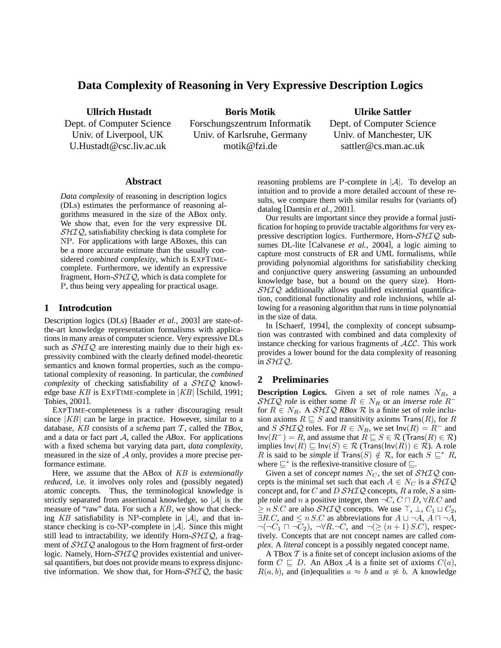# **Data Complexity of Reasoning in Very Expressive Description Logics**

**Ullrich Hustadt** Dept. of Computer Science Univ. of Liverpool, UK U.Hustadt@csc.liv.ac.uk

**Boris Motik** Forschungszentrum Informatik Univ. of Karlsruhe, Germany motik@fzi.de

**Ulrike Sattler** Dept. of Computer Science Univ. of Manchester, UK sattler@cs.man.ac.uk

### **Abstract**

*Data complexity* of reasoning in description logics (DLs) estimates the performance of reasoning algorithms measured in the size of the ABox only. We show that, even for the very expressive DL  $SHIQ$ , satisfiability checking is data complete for NP. For applications with large ABoxes, this can be a more accurate estimate than the usually considered *combined complexity*, which is EXPTIMEcomplete. Furthermore, we identify an expressive fragment, Horn- $\mathcal{SHIQ}$ , which is data complete for P, thus being very appealing for practical usage.

### **1 Introdcution**

Description logics (DLs) [Baader *et al.*, 2003] are state-ofthe-art knowledge representation formalisms with applications in many areas of computer science. Very expressive DLs such as  $\mathcal{SHIQ}$  are interesting mainly due to their high expressivity combined with the clearly defined model-theoretic semantics and known formal properties, such as the computational complexity of reasoning. In particular, the *combined complexity* of checking satisfiability of a SHIQ knowledge base KB is EXPTIME-complete in  $|KB|$  [Schild, 1991; Tobies, 2001].

EXPTIME-completeness is a rather discouraging result since  $|KB|$  can be large in practice. However, similar to a database, KB consists of a *schema* part T , called the *TBox*, and a data or fact part A, called the *ABox*. For applications with a fixed schema but varying data part, *data complexity*, measured in the size of  $A$  only, provides a more precise performance estimate.

Here, we assume that the ABox of KB is *extensionally reduced*, i.e. it involves only roles and (possibly negated) atomic concepts. Thus, the terminological knowledge is strictly separated from assertional knowledge, so  $|\mathcal{A}|$  is the measure of "raw" data. For such a KB, we show that checking KB satisfiability is NP-complete in  $|A|$ , and that instance checking is co-NP-complete in  $|\mathcal{A}|$ . Since this might still lead to intractability, we identify Horn- $\mathcal{SHIQ}$ , a fragment of SHIQ analogous to the Horn fragment of first-order logic. Namely, Horn- $\mathcal{SHIQ}$  provides existential and universal quantifiers, but does not provide means to express disjunctive information. We show that, for Horn- $\mathcal{SHIQ}$ , the basic reasoning problems are P-complete in  $|\mathcal{A}|$ . To develop an intuition and to provide a more detailed account of these results, we compare them with similar results for (variants of) datalog [Dantsin *et al.*, 2001].

Our results are important since they provide a formal justification for hoping to provide tractable algorithms for very expressive description logics. Furthermore, Horn-SHIQ subsumes DL-lite [Calvanese *et al.*, 2004], a logic aiming to capture most constructs of ER and UML formalisms, while providing polynomial algorithms for satisfiability checking and conjunctive query answering (assuming an unbounded knowledge base, but a bound on the query size). Horn- $SHIQ$  additionally allows qualified existential quantification, conditional functionality and role inclusions, while allowing for a reasoning algorithm that runs in time polynomial in the size of data.

In [Schaerf, 1994], the complexity of concept subsumption was contrasted with combined and data complexity of instance checking for various fragments of ALC. This work provides a lower bound for the data complexity of reasoning in  $\mathcal{SHIQ}$ .

# **2 Preliminaries**

**Description Logics.** Given a set of role names  $N_R$ , a SHIQ *role* is either some  $R \in N_R$  or an *inverse role*  $R^$ for  $R \in N_R$ . A  $\mathcal{SHIQ}$  *RBox*  $\mathcal R$  is a finite set of role inclusion axioms  $R \subseteq S$  and transitivity axioms  $\text{Trans}(R)$ , for R and S SHIQ roles. For  $R \in N_R$ , we set  $Inv(R) = R^-$  and  $Inv(R^{-}) = R$ , and assume that  $R \subseteq S \in \mathcal{R}$  (Trans $(R) \in \mathcal{R}$ ) implies  $Inv(R) \sqsubseteq Inv(S) \in \mathcal{R}$  (Trans( $Inv(R) \in \mathcal{R}$ ). A role R is said to be *simple* if  $Trans(S) \notin \mathcal{R}$ , for each  $S \subseteq^* R$ , where ⊑<sup>∗</sup> is the reflexive-transitive closure of ⊑.

Given a set of *concept names*  $N_C$ , the set of  $\mathcal{SHIQ}$  concepts is the minimal set such that each  $A \in N_C$  is a  $\mathcal{SHIQ}$ concept and, for C and D  $\mathcal{SHIQ}$  concepts, R a role, S a simple role and n a positive integer, then  $\neg C$ ,  $C \sqcap D$ ,  $\forall R.C$  and  $\geq n$  S.C are also SHIQ concepts. We use  $\top$ ,  $\bot$ ,  $C_1 \sqcup C_2$ ,  $\exists R.C$ , and  $\leq n$  S.C as abbreviations for  $A \sqcup \neg A$ ,  $A \sqcap \neg A$ ,  $\neg(\neg C_1 \sqcap \neg C_2)$ ,  $\neg \forall R.\neg C$ , and  $\neg(\geq (n+1) S.C)$ , respectively. Concepts that are not concept names are called *complex*. A *literal* concept is a possibly negated concept name.

A TBox  $T$  is a finite set of concept inclusion axioms of the form  $C \subseteq D$ . An ABox A is a finite set of axioms  $C(a)$ ,  $R(a, b)$ , and (in)equalities  $a \approx b$  and  $a \not\approx b$ . A knowledge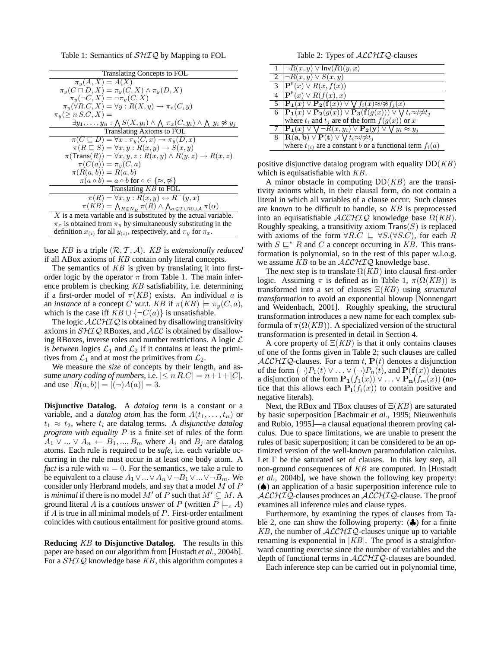Table 1: Semantics of  $\mathcal{SHIQ}$  by Mapping to FOL

| Translating Concepts to FOL                                                                                                      |
|----------------------------------------------------------------------------------------------------------------------------------|
| $\pi_u(A, X) = A(X)$                                                                                                             |
| $\pi_u(C \sqcap D, X) = \pi_u(C, X) \wedge \pi_u(D, X)$                                                                          |
| $\pi_u(\neg C, X) = \neg \pi_u(C, X)$                                                                                            |
| $\pi_y(\forall R.C, X) = \forall y : R(X, y) \rightarrow \pi_x(C, y)$                                                            |
| $\pi_u(>n S.C, X) =$                                                                                                             |
| $\exists y_1,\ldots,y_n : \bigwedge S(X,y_i) \wedge \bigwedge \pi_x(C,y_i) \wedge \bigwedge y_i \not\approx y_j$                 |
| <b>Translating Axioms to FOL</b>                                                                                                 |
| $\pi(C \sqsubseteq D) = \forall x : \pi_y(C, x) \to \pi_y(D, x)$                                                                 |
| $\pi(R \sqsubseteq S) = \forall x, y : R(x, y) \rightarrow S(x, y)$                                                              |
| $\pi(\text{Trans}(R)) = \forall x, y, z : R(x, y) \wedge R(y, z) \rightarrow R(x, z)$                                            |
| $\pi(C(a)) = \pi_u(C, a)$                                                                                                        |
| $\pi(R(a,b)) = R(a,b)$                                                                                                           |
| $\pi(a \circ b) = a \circ b$ for $\circ \in \{\approx, \approx\}$                                                                |
| Translating KB to FOL                                                                                                            |
| $\pi(R) = \forall x, y : R(x, y) \leftrightarrow R^{-}(y, x)$                                                                    |
| $\pi(KB) = \bigwedge_{R \in N_B} \pi(R) \wedge \bigwedge_{\alpha \in \mathcal{T} \cup \mathcal{R} \cup \mathcal{A}} \pi(\alpha)$ |
| $X$ is a meta variable and is substituted by the actual variable.                                                                |
| $\pi_x$ is obtained from $\pi_y$ by simultaneously substituting in the                                                           |
| definition $x_{(i)}$ for all $y_{(i)}$ , respectively, and $\pi_y$ for $\pi_x$ .                                                 |

base KB is a triple  $(\mathcal{R}, \mathcal{T}, \mathcal{A})$ . KB is *extensionally reduced* if all ABox axioms of KB contain only literal concepts.

The semantics of  $KB$  is given by translating it into firstorder logic by the operator  $\pi$  from Table 1. The main inference problem is checking  $KB$  satisfiability, i.e. determining if a first-order model of  $\pi(KB)$  exists. An individual a is an *instance* of a concept C w.r.t. KB if  $\pi(KB) \models \pi_y(C, a)$ , which is the case iff  $KB \cup \{\neg C(a)\}\$ is unsatisfiable.

The logic  $\mathcal{ALCHIQ}$  is obtained by disallowing transitivity axioms in  $\mathcal{SHIQ}$  RBoxes, and  $\mathcal{ALC}$  is obtained by disallowing RBoxes, inverse roles and number restrictions. A logic  $\mathcal L$ is *between* logics  $\mathcal{L}_1$  and  $\mathcal{L}_2$  if it contains at least the primitives from  $\mathcal{L}_1$  and at most the primitives from  $\mathcal{L}_2$ .

We measure the *size* of concepts by their length, and assume *unary coding of numbers*, i.e.  $|\leq n R.C| = n + 1 + |C|$ , and use  $|R(a, b)| = |(\neg)A(a)| = 3$ .

**Disjunctive Datalog.** A *datalog term* is a constant or a variable, and a *datalog atom* has the form  $A(t_1, \ldots, t_n)$  or  $t_1 \approx t_2$ , where  $t_i$  are datalog terms. A *disjunctive datalog program with equality* P is a finite set of rules of the form  $A_1 \vee ... \vee A_n \leftarrow B_1, ..., B_m$  where  $A_i$  and  $B_j$  are datalog atoms. Each rule is required to be *safe*, i.e. each variable occurring in the rule must occur in at least one body atom. A *fact* is a rule with  $m = 0$ . For the semantics, we take a rule to be equivalent to a clause  $A_1 \vee ... \vee A_n \vee \neg B_1 \vee ... \vee \neg B_m$ . We consider only Herbrand models, and say that a model  $M$  of  $P$ is *minimal* if there is no model M' of P such that  $M' \subsetneq M$ . A ground literal A is a *cautious answer* of P (written  $P \models_c A$ ) if  $A$  is true in all minimal models of  $P$ . First-order entailment coincides with cautious entailment for positive ground atoms.

**Reducing** KB **to Disjunctive Datalog.** The results in this paper are based on our algorithm from [Hustadt *et al.*, 2004b]. For a  $\mathcal{SHTQ}$  knowledge base KB, this algorithm computes a

Table 2: Types of  $ALCHIQ$ -clauses

|                                                                                                                | $\neg R(x,y) \vee \mathsf{Inv}(R)(y,x)$                                                                                            |  |  |
|----------------------------------------------------------------------------------------------------------------|------------------------------------------------------------------------------------------------------------------------------------|--|--|
| Translating Concepts to FOL                                                                                    | $\overline{\neg R(x,y)\vee S(x,y)}$                                                                                                |  |  |
| $\pi_y(A, X) = A(X)$                                                                                           | $\mathbf{P}^{\mathbf{f}}(x) \vee R(x, f(x))$                                                                                       |  |  |
| $C \cap D, X) = \pi_y(C, X) \wedge \pi_y(D, X)$                                                                |                                                                                                                                    |  |  |
| $\pi_y(\neg C, X) = \neg \pi_y(C, X)$                                                                          | $\mathbf{P}^{\mathbf{f}}(x) \vee R(f(x),x)$                                                                                        |  |  |
| $(\forall R.C, X) = \forall y : R(X, y) \rightarrow \pi_x(C, y)$                                               | $5\overline{\mathbf{P_1}(x)\vee\mathbf{P_2}(\mathbf{f}(x))\vee\bigvee f_i(x)} \approx f_j(x)$                                      |  |  |
| $n S.C, X$ ) =                                                                                                 | $\overline{\mathbf{p_1}(x) \vee \mathbf{P_2}(g(x)) \vee \mathbf{P_3}(f(g(x))) \vee \bigvee t_i \textcolor{red}{\approx} \neq t_j}$ |  |  |
| $\exists y_1,\ldots,y_n : \bigwedge S(X,y_i) \land \bigwedge \pi_x(C,y_i) \land \bigwedge y_i \not\approx y_j$ | where $t_i$ and $t_j$ are of the form $f(g(x))$ or x                                                                               |  |  |
| <b>Translating Axioms to FOL</b>                                                                               | $\sqrt{\mathbf{P_1}(x)} \vee \mathbf{\sqrt{-R}}(x,y_i) \vee \mathbf{P_2}(y) \vee \mathbf{\sqrt{-y}}_i \approx y_j$                 |  |  |
| $\pi(C \sqsubseteq D) = \forall x : \pi_y(C, x) \rightarrow \pi_y(D, x)$                                       | $\overline{\text{B} \mid \text{R}(\text{a},\text{b}) \vee \text{P}(\text{t}) \vee \bigvee t_i \text{\textless}\#t_j}$              |  |  |
| $\pi(R \sqsubseteq S) = \forall x, y : R(x, y) \rightarrow S(x, y)$                                            | where $t_{(i)}$ are a constant b or a functional term $f_i(a)$                                                                     |  |  |

positive disjunctive datalog program with equality  $DD(KB)$ which is equisatisfiable with KB.

 $\pi(KB) = \bigwedge_{R \in N_R} \pi(R) \wedge \bigwedge_{\alpha \in T \cup R \cup A} \pi(\alpha)$  are known to be difficult to handle, so KB is preprocessed A minor obstacle in computing  $DD(KB)$  are the transitivity axioms which, in their clausal form, do not contain a literal in which all variables of a clause occur. Such clauses into an equisatisfiable  $\mathcal{ALCHIQ}$  knowledge base  $\Omega(KB)$ . Roughly speaking, a transitivity axiom  $Trans(S)$  is replaced with axioms of the form  $\forall R.C \sqsubseteq \forall S.(\forall S.C)$ , for each R with  $S \subseteq^* R$  and C a concept occurring in KB. This transformation is polynomial, so in the rest of this paper w.l.o.g. we assume  $KB$  to be an  $ALCHIQ$  knowledge base.

> The next step is to translate  $\Omega(KB)$  into clausal first-order logic. Assuming  $\pi$  is defined as in Table 1,  $\pi(\Omega(KB))$  is transformed into a set of clauses Ξ(KB) using *structural transformation* to avoid an exponential blowup [Nonnengart and Weidenbach, 2001]. Roughly speaking, the structural transformation introduces a new name for each complex subformula of  $\pi(\Omega(KB))$ . A specialized version of the structural transformation is presented in detail in Section 4.

> A core property of  $\Xi(KB)$  is that it only contains clauses of one of the forms given in Table 2; such clauses are called  $ALCHIQ$ -clauses. For a term t,  $P(t)$  denotes a disjunction of the form  $(\neg)P_1(t) \vee \dots \vee (\neg)P_n(t)$ , and  $\mathbf{P}(\mathbf{f}(x))$  denotes a disjunction of the form  $\mathbf{P_1}(f_1(x)) \vee \ldots \vee \mathbf{P_n}(f_m(x))$  (notice that this allows each  $P_i(f_i(x))$  to contain positive and negative literals).

> Next, the RBox and TBox clauses of  $\Xi(KB)$  are saturated by basic superposition [Bachmair *et al.*, 1995; Nieuwenhuis and Rubio, 1995]—a clausal equational theorem proving calculus. Due to space limitations, we are unable to present the rules of basic superposition; it can be considered to be an optimized version of the well-known paramodulation calculus. Let  $\Gamma$  be the saturated set of clauses. In this key step, all non-ground consequences of KB are computed. In [Hustadt *et al.*, 2004b], we have shown the following key property: (♠) an application of a basic superposition inference rule to  $ALCHIQ$ -clauses produces an  $ALCHIQ$ -clause. The proof examines all inference rules and clause types.

> Furthermore, by examining the types of clauses from Table 2, one can show the following property:  $(\clubsuit)$  for a finite KB, the number of  $\text{ALCHIQ}$ -clauses unique up to variable renaming is exponential in  $|KB|$ . The proof is a straightforward counting exercise since the number of variables and the depth of functional terms in  $ALCHIQ$ -clauses are bounded.

Each inference step can be carried out in polynomial time,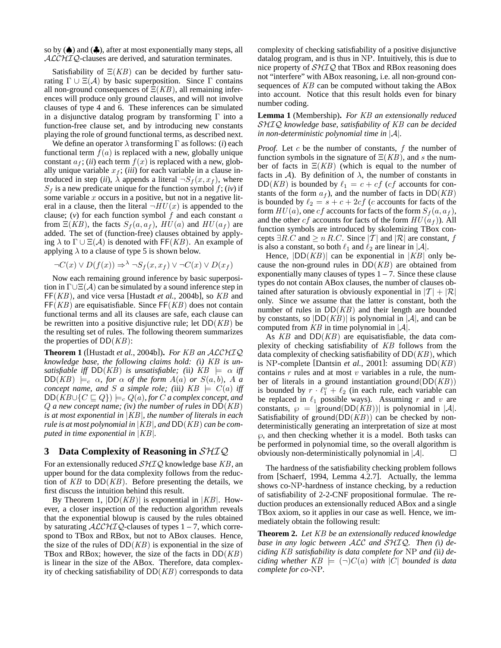so by  $(\spadesuit)$  and  $(\clubsuit)$ , after at most exponentially many steps, all ALCHIQ-clauses are derived, and saturation terminates.

Satisfiability of  $\Xi(KB)$  can be decided by further saturating  $\Gamma \cup \Xi(\mathcal{A})$  by basic superposition. Since Γ contains all non-ground consequences of  $\Xi(KB)$ , all remaining inferences will produce only ground clauses, and will not involve clauses of type 4 and 6. These inferences can be simulated in a disjunctive datalog program by transforming  $\Gamma$  into a function-free clause set, and by introducing new constants playing the role of ground functional terms, as described next.

We define an operator  $\lambda$  transforming  $\Gamma$  as follows: (*i*) each functional term  $f(a)$  is replaced with a new, globally unique constant  $a_f$ ; (*ii*) each term  $f(x)$  is replaced with a new, globally unique variable  $x_f$ ; (*iii*) for each variable in a clause introduced in step (*ii*),  $\lambda$  appends a literal  $\neg S_f(x, x_f)$ , where  $S_f$  is a new predicate unique for the function symbol  $f$ ; (*iv*) if some variable  $x$  occurs in a positive, but not in a negative literal in a clause, then the literal  $\neg HU(x)$  is appended to the clause;  $(v)$  for each function symbol  $f$  and each constant  $a$ from  $\Xi(KB)$ , the facts  $S_f(a, a_f)$ ,  $HU(a)$  and  $HU(a_f)$  are added. The set of (function-free) clauses obtained by applying  $\lambda$  to  $\Gamma \cup \Xi(\mathcal{A})$  is denoted with FF(KB). An example of applying  $\lambda$  to a clause of type 5 is shown below.

$$
\neg C(x) \lor D(f(x)) \Rightarrow^{\lambda} \neg S_f(x, x_f) \lor \neg C(x) \lor D(x_f)
$$

Now each remaining ground inference by basic superposition in  $\Gamma \cup \Xi(\mathcal{A})$  can be simulated by a sound inference step in FF(KB), and vice versa [Hustadt *et al.*, 2004b], so KB and  $FF(KB)$  are equisatisfiable. Since  $FF(KB)$  does not contain functional terms and all its clauses are safe, each clause can be rewritten into a positive disjunctive rule; let  $DD(KB)$  be the resulting set of rules. The following theorem summarizes the properties of  $DD(KB)$ :

**Theorem 1** ([Hustadt *et al.*, 2004b])**.** *For* KB *an* ALCHIQ *knowledge base, the following claims hold: (*i*)* KB *is unsatisfiable iff*  $DD(KB)$  *is unsatisfiable;* (ii)  $KB = \alpha$  *iff*  $DD(KB) \models_c \alpha$ , for  $\alpha$  of the form  $A(a)$  or  $S(a, b)$ , A a *concept name, and S a simple role;* (iii)  $KB \models C(a)$  *iff*  $DD(KB\cup{C \subseteq Q}) \models_c Q(a)$ , for C a complex concept, and Q *a new concept name; (*iv*) the number of rules in* DD(KB) *is at most exponential in* |KB|*, the number of literals in each rule is at most polynomial in* |KB|*, and* DD(KB) *can be computed in time exponential in* |KB|*.*

### **3 Data Complexity of Reasoning in** SHIQ

For an extensionally reduced  $\mathcal{SHIQ}$  knowledge base KB, an upper bound for the data complexity follows from the reduction of  $KB$  to  $DD(KB)$ . Before presenting the details, we first discuss the intuition behind this result.

By Theorem 1,  $|DD(KB)|$  is exponential in |KB|. However, a closer inspection of the reduction algorithm reveals that the exponential blowup is caused by the rules obtained by saturating  $ALCHIQ$ -clauses of types  $1 - 7$ , which correspond to TBox and RBox, but not to ABox clauses. Hence, the size of the rules of  $DD(KB)$  is exponential in the size of TBox and RBox; however, the size of the facts in  $DD(KB)$ is linear in the size of the ABox. Therefore, data complexity of checking satisfiability of  $DD(KB)$  corresponds to data complexity of checking satisfiability of a positive disjunctive datalog program, and is thus in NP. Intuitively, this is due to nice property of  $\mathcal{SHIQ}$  that TBox and RBox reasoning does not "interfere" with ABox reasoning, i.e. all non-ground consequences of KB can be computed without taking the ABox into account. Notice that this result holds even for binary number coding.

**Lemma 1** (Membership)**.** *For* KB *an extensionally reduced* SHIQ *knowledge base, satisfiability of* KB *can be decided in non-deterministic polynomial time in* |A|*.*

*Proof.* Let  $c$  be the number of constants,  $f$  the number of function symbols in the signature of  $\Xi(KB)$ , and s the number of facts in  $\Xi(KB)$  (which is equal to the number of facts in  $\mathcal{A}$ ). By definition of  $\lambda$ , the number of constants in DD(*KB*) is bounded by  $\ell_1 = c + cf$  (*cf* accounts for constants of the form  $a_f$ ), and the number of facts in  $DD(KB)$ is bounded by  $\ell_2 = s + c + 2cf$  (c accounts for facts of the form  $HU(a)$ , one cf accounts for facts of the form  $S_f(a, a_f)$ , and the other cf accounts for facts of the form  $HU(a_f)$ ). All function symbols are introduced by skolemizing TBox concepts  $\exists R.C$  and  $\geq n R.C$ . Since  $|T|$  and  $|R|$  are constant, f is also a constant, so both  $\ell_1$  and  $\ell_2$  are linear in  $|\mathcal{A}|$ .

Hence,  $|DD(KB)|$  can be exponential in  $|KB|$  only because the non-ground rules in  $DD(KB)$  are obtained from exponentially many clauses of types  $1 - 7$ . Since these clause types do not contain ABox clauses, the number of clauses obtained after saturation is obviously exponential in  $|\mathcal{T}| + |\mathcal{R}|$ only. Since we assume that the latter is constant, both the number of rules in  $DD(KB)$  and their length are bounded by constants, so  $|DD(KB)|$  is polynomial in  $|A|$ , and can be computed from KB in time polynomial in  $|\mathcal{A}|$ .

As  $KB$  and  $DD(KB)$  are equisatisfiable, the data complexity of checking satisfiability of KB follows from the data complexity of checking satisfiability of  $DD(KB)$ , which is NP-complete [Dantsin *et al.*, 2001]: assuming DD(KB) contains  $r$  rules and at most  $v$  variables in a rule, the number of literals in a ground instantiation ground( $DD(KB)$ ) is bounded by  $r \cdot \ell_1^{\overline{v}} + \ell_2$  (in each rule, each variable can be replaced in  $\ell_1$  possible ways). Assuming r and v are constants,  $\wp = |\text{ground}(DD(KB))|$  is polynomial in |A|. Satisfiability of ground( $DD(KB)$ ) can be checked by nondeterministically generating an interpretation of size at most  $\wp$ , and then checking whether it is a model. Both tasks can be performed in polynomial time, so the overall algorithm is obviously non-deterministically polynomial in  $|\mathcal{A}|$ .  $\Box$ 

The hardness of the satisfiability checking problem follows from [Schaerf, 1994, Lemma 4.2.7]. Actually, the lemma shows co-NP-hardness of instance checking, by a reduction of satisfiability of 2-2-CNF propositional formulae. The reduction produces an extensionally reduced ABox and a single TBox axiom, so it applies in our case as well. Hence, we immediately obtain the following result:

**Theorem 2.** *Let* KB *be an extensionally reduced knowledge base in any logic between* ALC *and* SHIQ*. Then (*i*) deciding* KB *satisfiability is data complete for* NP *and (*ii*) deciding whether*  $KB \models (\neg)C(a)$  *with*  $|C|$  *bounded is data complete for co-*NP*.*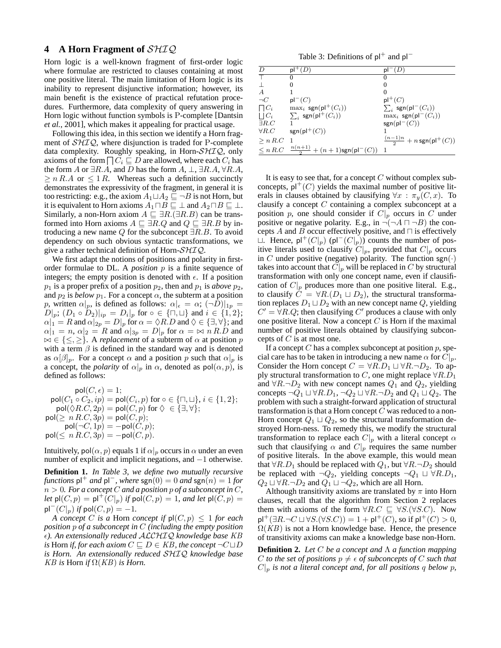# **4 A Horn Fragment of** SHIQ

Horn logic is a well-known fragment of first-order logic where formulae are restricted to clauses containing at most one positive literal. The main limitation of Horn logic is its inability to represent disjunctive information; however, its main benefit is the existence of practical refutation procedures. Furthermore, data complexity of query answering in Horn logic without function symbols is P-complete [Dantsin *et al.*, 2001], which makes it appealing for practical usage.

Following this idea, in this section we identify a Horn fragment of  $\mathcal{SHIQ}$ , where disjunction is traded for P-complete data complexity. Roughly speaking, in Horn- $\mathcal{SHIQ}$ , only axioms of the form  $\bigcap C_i \sqsubseteq D$  are allowed, where each  $C_i$  has the form A or  $\exists R.A$ , and D has the form  $A, \perp, \exists R.A, \forall R.A$ ,  $\geq n R.A$  or  $\leq 1 R$ . Whereas such a definition succinctly demonstrates the expressivity of the fragment, in general it is too restricting: e.g., the axiom  $A_1 \sqcup A_2 \sqsubseteq \neg B$  is not Horn, but it is equivalent to Horn axioms  $A_1 \sqcap B \sqsubseteq \bot$  and  $A_2 \sqcap B \sqsubseteq \bot$ . Similarly, a non-Horn axiom  $A \subseteq \exists R.(\exists R.B)$  can be transformed into Horn axioms  $A \sqsubseteq \exists R.Q$  and  $Q \sqsubseteq \exists R.B$  by introducing a new name  $Q$  for the subconcept  $\exists R.B.$  To avoid dependency on such obvious syntactic transformations, we give a rather technical definition of Horn- $\mathcal{SHIQ}$ .

We first adapt the notions of positions and polarity in firstorder formulae to DL. A *position* p is a finite sequence of integers; the empty position is denoted with  $\epsilon$ . If a position  $p_1$  is a proper prefix of a position  $p_2$ , then and  $p_1$  is *above*  $p_2$ , and  $p_2$  is *below*  $p_1$ . For a concept  $\alpha$ , the subterm at a position p, written  $\alpha|_p$ , is defined as follows:  $\alpha|_{\epsilon} = \alpha$ ;  $(\neg D)|_{1p} =$  $D|_p$ ;  $(D_1 \circ D_2)|_{ip} = D_i|_p$  for  $\circ \in \{\Box, \Box\}$  and  $i \in \{1, 2\}$ ;  $\alpha|_1 = R$  and  $\alpha|_{2p} = D|_p$  for  $\alpha = \Diamond R.D$  and  $\Diamond \in \{\exists, \forall\};$  and  $\alpha|_1 = n$ ,  $\alpha|_2 = R$  and  $\alpha|_{3p} = D|_p$  for  $\alpha = \infty$  n R.D and  $\bowtie \in \{\leq, \geq\}$ . A *replacement* of a subterm of  $\alpha$  at position p with a term  $\beta$  is defined in the standard way and is denoted as  $\alpha[\beta]_p$ . For a concept  $\alpha$  and a position p such that  $\alpha|_p$  is a concept, the *polarity* of  $\alpha|_p$  in  $\alpha$ , denoted as  $\text{pol}(\alpha, p)$ , is defined as follows:

 $\textsf{pol}(C, \epsilon) = 1;$  $\mathsf{pol}(C_1\circ C_2, ip) = \mathsf{pol}(C_i,p) \text{ for } \circ \in \{\sqcap,\sqcup\}, i\in \{1,2\};$  $\mathsf{pol}(\Diamond R.C, 2p) = \mathsf{pol}(C,p) \text{ for } \Diamond \in \{\exists, \forall\};$  $\mathsf{pol}(\geq n R.C, 3p) = \mathsf{pol}(C,p);$  $\mathsf{pol}(\neg C, 1p) = -\mathsf{pol}(C, p);$  $\mathsf{pol}(\leq n R.C, 3p) = -\mathsf{pol}(C,p).$ 

Intuitively, pol $(\alpha, p)$  equals 1 if  $\alpha|_p$  occurs in  $\alpha$  under an even number of explicit and implicit negations, and −1 otherwise.

**Definition 1.** *In Table 3, we define two mutually recursive*  $functions$   $\mathsf{pl}^+$  *and*  $\mathsf{pl}^-$ *, where*  $\text{sgn}(0) = 0$  *and*  $\text{sgn}(n) = 1$  *for*  $n > 0$ *. For a concept* C and a position p of a subconcept in C, *let*  $\textsf{pl}(C, p) = \textsf{pl}^+(C|p)$  *if*  $\textsf{pol}(C, p) = 1$ *, and let*  $\textsf{pl}(C, p) = 1$  $p^{-}(C|_{p})$  *if*  $pol(C, p) = -1$ .

*A concept C is a* Horn *concept if*  $\text{pl}(C, p) \leq 1$  *for each position* p *of a subconcept in* C *(including the empty position* ǫ*). An extensionally reduced* ALCHIQ *knowledge base* KB *is* Horn *if, for each axiom*  $C \sqsubseteq D \in KB$ *, the concept*  $\neg C \sqcup D$ *is Horn. An extensionally reduced* SHIQ *knowledge base KB is* Horn *if*  $\Omega(KB)$  *is Horn.* 

Table 3: Definitions of  $pl$ <sup>+</sup> and  $pl$ <sup>-</sup>

|                           | $+7n$                                                               | ا $\mathsf{I}^-(D)$                                                                                                                                 |
|---------------------------|---------------------------------------------------------------------|-----------------------------------------------------------------------------------------------------------------------------------------------------|
|                           |                                                                     |                                                                                                                                                     |
|                           |                                                                     |                                                                                                                                                     |
|                           |                                                                     |                                                                                                                                                     |
| $\sim$<br>¬C≒             | $\overline{\mathcal{C}}$                                            |                                                                                                                                                     |
| $\bigcap C_i$             | $\max_i \; \mathsf{sgn}(\mathsf{pl}^+(C_i))$                        |                                                                                                                                                     |
|                           | $\sum_i$ sgn(pl <sup>+</sup> ( $C_i$ ))                             | $\begin{array}{l} \sum_i \, \text{sgn}(\mathsf{pl}^-(C_i)) \\ \max_i \, \text{sgn}(\mathsf{pl}^-(C_i)) \\ \text{sgn}(\mathsf{pl}^-(C)) \end{array}$ |
| $\bigcup_{i \in R.C} C_i$ |                                                                     |                                                                                                                                                     |
| $\forall R.C$             | $sgn(\mathsf{pl}^+(C))$                                             |                                                                                                                                                     |
| $\geq n R.C$ 1            |                                                                     | $\frac{(n-1)n}{2} + n \operatorname{sgn}(\mathsf{pl}^{+}(C))$                                                                                       |
|                           |                                                                     |                                                                                                                                                     |
|                           | $\leq n R.C \frac{n(n+1)}{2} + (n+1)\text{sgn}(\textsf{pl}^-(C))$ 1 |                                                                                                                                                     |

It is easy to see that, for a concept  $C$  without complex subconcepts,  $\mathsf{pl}^+(C)$  yields the maximal number of positive literals in clauses obtained by clausifying  $\forall x : \pi_y(C, x)$ . To clausify a concept  $C$  containing a complex subconcept at a position p, one should consider if  $C|_p$  occurs in C under positive or negative polarity. E.g., in  $\neg(\neg A \sqcap \neg B)$  the concepts A and B occur effectively positive, and  $\Box$  is effectively  $\Box$ . Hence,  $\mathsf{p} \mathsf{l}^+(C|_p)$  ( $\mathsf{p} \mathsf{l}^-(C|_p)$ ) counts the number of positive literals used to clausify  $C|_p$ , provided that  $C|_p$  occurs in C under positive (negative) polarity. The function sgn( $\cdot$ ) takes into account that  $C|_p$  will be replaced in C by structural transformation with only one concept name, even if clausification of  $C|_p$  produces more than one positive literal. E.g., to clausify  $C = \forall R.(D_1 \sqcup D_2)$ , the structural transformation replaces  $D_1 \sqcup D_2$  with an new concept name Q, yielding  $C' = \overline{\forall} R.Q$ ; then clausifying C' produces a clause with only one positive literal. Now a concept  $C$  is Horn if the maximal number of positive literals obtained by clausifying subconcepts of  $C$  is at most one.

If a concept C has a complex subconcept at position  $p$ , special care has to be taken in introducing a new name  $\alpha$  for  $C|_p$ . Consider the Horn concept  $C = \forall R.D_1 \sqcup \forall R.\neg D_2$ . To apply structural transformation to C, one might replace  $\forall R.\overline{D}_1$ and  $\forall R.\neg D_2$  with new concept names  $Q_1$  and  $Q_2$ , yielding concepts  $\neg Q_1 \sqcup \forall R.D_1, \neg Q_2 \sqcup \forall R.\neg D_2$  and  $Q_1 \sqcup Q_2$ . The problem with such a straight-forward application of structural transformation is that a Horn concept  $C$  was reduced to a non-Horn concept  $Q_1 \sqcup Q_2$ , so the structural transformation destroyed Horn-ness. To remedy this, we modify the structural transformation to replace each  $C|_p$  with a literal concept  $\alpha$ such that clausifying  $\alpha$  and  $C|_p$  requires the same number of positive literals. In the above example, this would mean that  $\forall R.D_1$  should be replaced with  $Q_1$ , but  $\forall R.\neg D_2$  should be replaced with  $\neg Q_2$ , yielding concepts  $\neg Q_1 \sqcup \forall R.D_1$ ,  $Q_2 \sqcup \forall R.\neg D_2$  and  $Q_1 \sqcup \neg Q_2$ , which are all Horn.

Although transitivity axioms are translated by  $\pi$  into Horn clauses, recall that the algorithm from Section 2 replaces them with axioms of the form  $\forall R.C \sqsubseteq \forall S.(\forall S.C)$ . Now  $pI^{+}(\exists R.\neg C \sqcup \forall S.(\forall S.C)) = 1 + pI^{+}(C)$ , so if  $pI^{+}(C) > 0$ ,  $\Omega(KB)$  is not a Horn knowledge base. Hence, the presence of transitivity axioms can make a knowledge base non-Horn.

**Definition 2.** *Let* C *be a concept and* Λ *a function mapping* C *to the set of positions*  $p \neq \epsilon$  *of subconcepts of* C *such that*  $C|_p$  *is not a literal concept and, for all positions q below p,*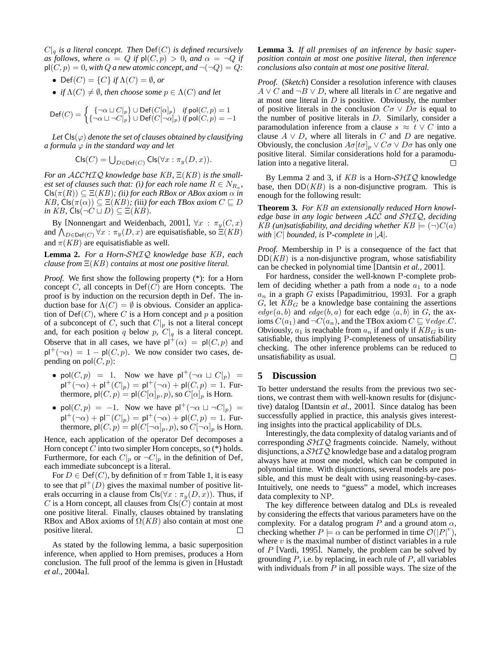$C|_q$  *is a literal concept. Then*  $Def(C)$  *is defined recursively as follows, where*  $\alpha = Q$  *if*  $\mathsf{pl}(C, p) > 0$ *, and*  $\alpha = \neg Q$  *if*  $\mathsf{pl}(C, p) = 0$ , with Q a new atomic concept, and  $\neg(\neg Q) = Q$ :

- Def $(C) = \{C\}$  *if*  $\Lambda(C) = \emptyset$ *, or*
- *if*  $\Lambda(C) \neq \emptyset$ , then choose some  $p \in \Lambda(C)$  and let

$$
\mathsf{Def}(C) = \left\{ \begin{matrix} \{ \neg \alpha \sqcup C|_p \} \cup \mathsf{Def}(C[\alpha]_p) & \text{if } \mathsf{pol}(C,p) = 1 \\ \{ \neg \alpha \sqcup \neg C|_p \} \cup \mathsf{Def}(C[\neg \alpha]_p) & \text{if } \mathsf{pol}(C,p) = -1 \end{matrix} \right.
$$

*Let*  $\text{Cls}(\varphi)$  *denote the set of clauses obtained by clausifying a formula*  $\varphi$  *in the standard way and let* 

$$
\mathsf{Cls}(C) = \bigcup_{D \in \mathsf{Def}(C)} \mathsf{Cls}(\forall x : \pi_y(D, x)).
$$

*For an* ALCHIQ *knowledge base* KB*,* Ξ(KB) *is the smallest set of clauses such that: (i) for each role name*  $R \in N_{R_a}$ ,  $\text{Cls}(\pi(R)) \subseteq \Xi(KB)$ ; (ii) for each RBox or ABox axiom  $\alpha$  in KB,  $\mathsf{Cls}(\pi(\alpha)) \subseteq \Xi(KB)$ ; (iii) for each TBox axiom  $C \sqsubseteq D$ *in KB*,  $\text{Cls}(\neg C \sqcup D) \subseteq \Xi(KB)$ .

By [Nonnengart and Weidenbach, 2001],  $\forall x : \pi_y(C, x)$ and  $\bigwedge_{D \in \mathsf{Def}(C)} \forall x : \pi_y(D, x)$  are equisatisfiable, so  $\Xi(KB)$ and  $\pi(KB)$  are equisatisfiable as well.

#### **Lemma 2.** *For a Horn-*SHIQ *knowledge base* KB*, each clause from* Ξ(KB) *contains at most one positive literal.*

*Proof.* We first show the following property (\*): for a Horn concept  $C$ , all concepts in  $\text{Def}(C)$  are Horn concepts. The proof is by induction on the recursion depth in Def. The induction base for  $\Lambda(C) = \emptyset$  is obvious. Consider an application of  $Def(C)$ , where C is a Horn concept and p a position of a subconcept of C, such that  $C|_p$  is not a literal concept and, for each position q below p,  $C|_q$  is a literal concept. Observe that in all cases, we have  $p^{+}(\alpha) = p(C, p)$  and  $\mathsf{pl}^+(\neg \alpha) = 1 - \mathsf{pl}(C, p)$ . We now consider two cases, depending on  $\text{pol}(C, p)$ :

- pol $(C, p) = 1$ . Now we have  $\mathsf{pl}^+(\neg \alpha \sqcup C|_p) =$  $\mathsf{p} \mathsf{l}^+ (\neg \alpha) + \mathsf{p} \mathsf{l}^+ (C|_{p}) = \mathsf{p} \mathsf{l}^+ (\neg \alpha) + \mathsf{p} \mathsf{l} (C, p) = 1.$  Furthermore,  $\mathsf{pl}(C, p) = \mathsf{pl}(C[\alpha]_p, p)$ , so  $C[\alpha]_p$  is Horn.
- pol $(C, p) = -1$ . Now we have  $\mathsf{pl}^+(\neg \alpha \sqcup \neg C|_p) =$  $\mathsf{p}\mathsf{l}^+(\neg\alpha) + \mathsf{p}\mathsf{l}^-(C|_p) = \mathsf{p}\mathsf{l}^+(\neg\alpha) + \mathsf{p}\mathsf{l}(C,p) = 1.$  Furthermore,  $\mathsf{pl}(C,p) = \mathsf{pl}(C[\neg \alpha]_p, p)$ , so  $C[\neg \alpha]_p$  is Horn.

Hence, each application of the operator Def decomposes a Horn concept  $C$  into two simpler Horn concepts, so  $(*)$  holds. Furthermore, for each  $C|_p$  or  $\neg C|_p$  in the definition of Def, each immediate subconcept is a literal.

For  $D \in \text{Def}(C)$ , by definition of  $\pi$  from Table 1, it is easy to see that  $\mathsf{pl}^+(D)$  gives the maximal number of positive literals occurring in a clause from  $\text{Cls}(\forall x : \pi_y(D, x))$ . Thus, if C is a Horn concept, all clauses from  $\text{Cls}(\tilde{C})$  contain at most one positive literal. Finally, clauses obtained by translating RBox and ABox axioms of  $\Omega(KB)$  also contain at most one positive literal.  $\Box$ 

As stated by the following lemma, a basic superposition inference, when applied to Horn premises, produces a Horn conclusion. The full proof of the lemma is given in [Hustadt *et al.*, 2004a].

### **Lemma 3.** *If all premises of an inference by basic superposition contain at most one positive literal, then inference conclusions also contain at most one positive literal.*

*Proof.* (*Sketch*) Consider a resolution inference with clauses  $A \vee C$  and  $\neg B \vee D$ , where all literals in C are negative and at most one literal in  $D$  is positive. Obviously, the number  $Def(C) = \begin{cases} {\{\neg \alpha \sqcup C | p\}} \cup Def(C[\alpha]_p) & if pol(C, p) = 1 \\ {\{\neg \alpha \sqcup \neg C | 1\}} \cup Def(C[\neg \alpha]_p) & if pol(C, p) = 1 \end{cases}$  of positive literals in the conclusion  $C\sigma \lor D\sigma$  is equal to the number of positive literals in  $D$ . Similarly, consider a paramodulation inference from a clause  $s \approx t \vee C$  into a clause  $A \vee D$ , where all literals in C and D are negative. Obviously, the conclusion  $A\sigma[t\sigma]_p \vee C\sigma \vee D\sigma$  has only one positive literal. Similar considerations hold for a paramodulation into a negative literal. П

> By Lemma 2 and 3, if  $KB$  is a Horn- $\mathcal{SHIQ}$  knowledge base, then  $DD(KB)$  is a non-disjunctive program. This is enough for the following result:

> **Theorem 3.** *For* KB *an extensionally reduced Horn knowledge base in any logic between* ALC *and* SHIQ*, deciding* KB (un)satisfiability, and deciding whether  $KB \models (\neg)C(a)$ *with*  $|C|$  *bounded, is* P-complete in  $|A|$ *.*

> *Proof.* Membership in P is a consequence of the fact that  $DD(KB)$  is a non-disjunctive program, whose satisfiability can be checked in polynomial time [Dantsin *et al.*, 2001].

> For hardness, consider the well-known P-complete problem of deciding whether a path from a node  $a_1$  to a node  $a_n$  in a graph G exists [Papadimitriou, 1993]. For a graph  $G$ , let  $KB_G$  be a knowledge base containing the assertions  $edge(a, b)$  and  $edge(b, a)$  for each edge  $\langle a, b \rangle$  in G, the axioms  $C(a_1)$  and  $\neg C(a_n)$ , and the TBox axiom  $C \sqsubseteq \forall edge.C.$ Obviously,  $a_1$  is reachable from  $a_n$  if and only if  $KB_G$  is unsatisfiable, thus implying P-completeness of unsatisfiability checking. The other inference problems can be reduced to unsatisfiability as usual. П

### **5 Discussion**

To better understand the results from the previous two sections, we contrast them with well-known results for (disjunctive) datalog [Dantsin *et al.*, 2001]. Since datalog has been successfully applied in practice, this analysis gives interesting insights into the practical applicability of DLs.

Interestingly, the data complexity of datalog variants and of corresponding SHIQ fragments coincide. Namely, without disjunctions, a  $\mathcal{SHIQ}$  knowledge base and a datalog program always have at most one model, which can be computed in polynomial time. With disjunctions, several models are possible, and this must be dealt with using reasoning-by-cases. Intuitively, one needs to "guess" a model, which increases data complexity to NP.

The key difference between datalog and DLs is revealed by considering the effects that various parameters have on the complexity. For a datalog program P and a ground atom  $\alpha$ , checking whether  $P \models \alpha$  can be performed in time  $\mathcal{O}(|P|^v)$ , where  $v$  is the maximal number of distinct variables in a rule of P [Vardi, 1995]. Namely, the problem can be solved by grounding  $P$ , i.e. by replacing, in each rule of  $P$ , all variables with individuals from  $P$  in all possible ways. The size of the